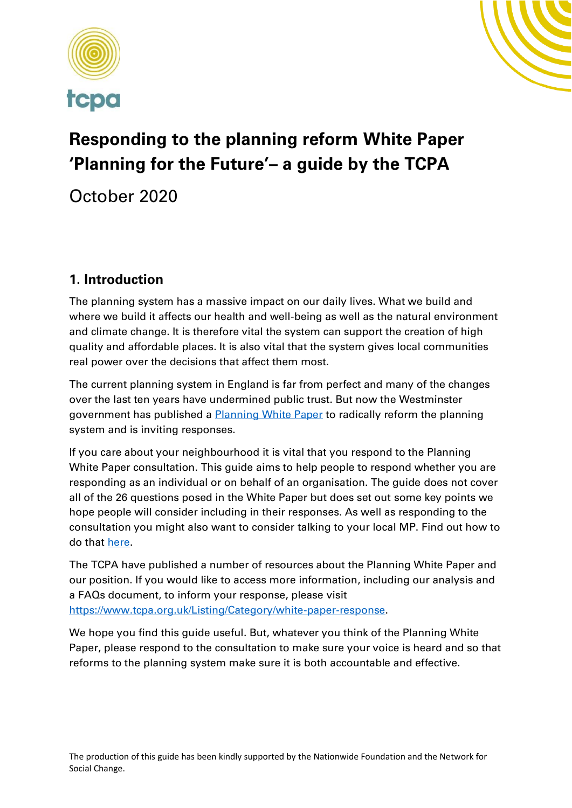



# **Responding to the planning reform White Paper 'Planning for the Future'– a guide by the TCPA**

October 2020

# **1. Introduction**

The planning system has a massive impact on our daily lives. What we build and where we build it affects our health and well-being as well as the natural environment and climate change. It is therefore vital the system can support the creation of high quality and affordable places. It is also vital that the system gives local communities real power over the decisions that affect them most.

The current planning system in England is far from perfect and many of the changes over the last ten years have undermined public trust. But now the Westminster government has published a **Planning White Paper** to radically reform the planning system and is inviting responses.

If you care about your neighbourhood it is vital that you respond to the Planning White Paper consultation. This guide aims to help people to respond whether you are responding as an individual or on behalf of an organisation. The guide does not cover all of the 26 questions posed in the White Paper but does set out some key points we hope people will consider including in their responses. As well as responding to the consultation you might also want to consider talking to your local MP. Find out how to do that [here.](https://members.parliament.uk/members/Commons)

The TCPA have published a number of resources about the Planning White Paper and our position. If you would like to access more information, including our analysis and a FAQs document, to inform your response, please visit [https://www.tcpa.org.uk/Listing/Category/white-paper-response.](https://www.tcpa.org.uk/Listing/Category/white-paper-response)

We hope you find this guide useful. But, whatever you think of the Planning White Paper, please respond to the consultation to make sure your voice is heard and so that reforms to the planning system make sure it is both accountable and effective.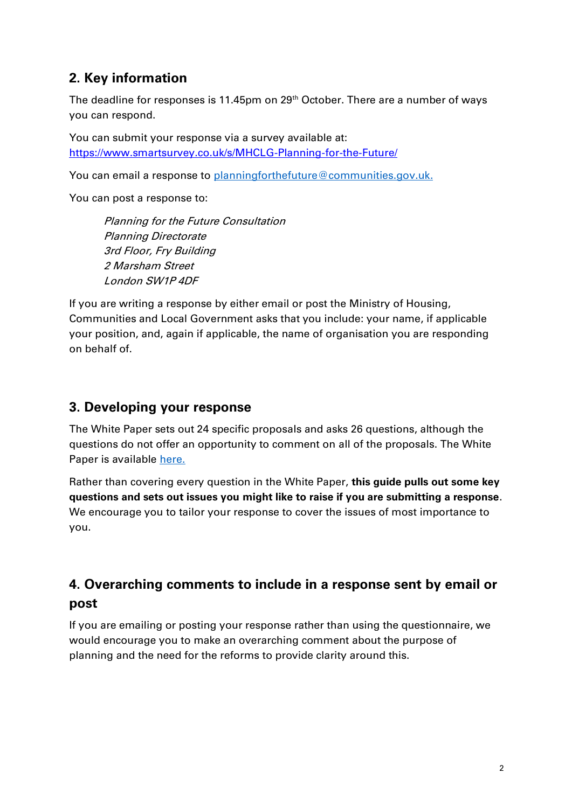# **2. Key information**

The deadline for responses is 11.45pm on 29<sup>th</sup> October. There are a number of ways you can respond.

You can submit your response via a survey available at: <https://www.smartsurvey.co.uk/s/MHCLG-Planning-for-the-Future/>

You can email a response to [planningforthefuture@communities.gov.uk.](mailto:planningforthefuture@communities.gov.uk)

You can post a response to:

Planning for the Future Consultation Planning Directorate 3rd Floor, Fry Building 2 Marsham Street London SW1P 4DF

If you are writing a response by either email or post the Ministry of Housing, Communities and Local Government asks that you include: your name, if applicable your position, and, again if applicable, the name of organisation you are responding on behalf of.

## **3. Developing your response**

The White Paper sets out 24 specific proposals and asks 26 questions, although the questions do not offer an opportunity to comment on all of the proposals. The White Paper is available [here.](https://assets.publishing.service.gov.uk/government/uploads/system/uploads/attachment_data/file/907956/Planning_for_the_Future_web_accessible_version.pdf)

Rather than covering every question in the White Paper, **this guide pulls out some key questions and sets out issues you might like to raise if you are submitting a response**. We encourage you to tailor your response to cover the issues of most importance to you.

# **4. Overarching comments to include in a response sent by email or post**

If you are emailing or posting your response rather than using the questionnaire, we would encourage you to make an overarching comment about the purpose of planning and the need for the reforms to provide clarity around this.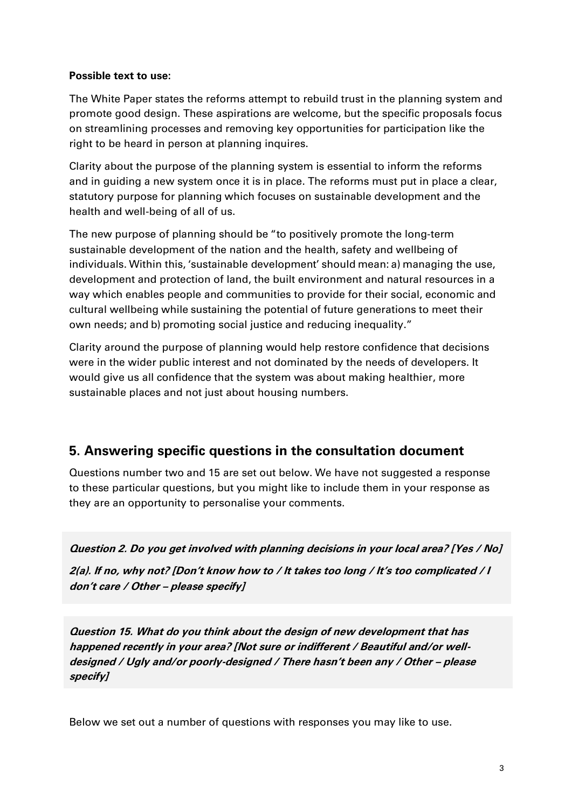#### **Possible text to use:**

The White Paper states the reforms attempt to rebuild trust in the planning system and promote good design. These aspirations are welcome, but the specific proposals focus on streamlining processes and removing key opportunities for participation like the right to be heard in person at planning inquires.

Clarity about the purpose of the planning system is essential to inform the reforms and in guiding a new system once it is in place. The reforms must put in place a clear, statutory purpose for planning which focuses on sustainable development and the health and well-being of all of us.

The new purpose of planning should be "to positively promote the long-term sustainable development of the nation and the health, safety and wellbeing of individuals. Within this, 'sustainable development' should mean: a) managing the use, development and protection of land, the built environment and natural resources in a way which enables people and communities to provide for their social, economic and cultural wellbeing while sustaining the potential of future generations to meet their own needs; and b) promoting social justice and reducing inequality."

Clarity around the purpose of planning would help restore confidence that decisions were in the wider public interest and not dominated by the needs of developers. It would give us all confidence that the system was about making healthier, more sustainable places and not just about housing numbers.

## **5. Answering specific questions in the consultation document**

Questions number two and 15 are set out below. We have not suggested a response to these particular questions, but you might like to include them in your response as they are an opportunity to personalise your comments.

**Question 2. Do you get involved with planning decisions in your local area? [Yes / No]** 

**2(a). If no, why not? [Don't know how to / It takes too long / It's too complicated / I don't care / Other – please specify]**

**Question 15. What do you think about the design of new development that has happened recently in your area? [Not sure or indifferent / Beautiful and/or welldesigned / Ugly and/or poorly-designed / There hasn't been any / Other – please specify]** 

Below we set out a number of questions with responses you may like to use.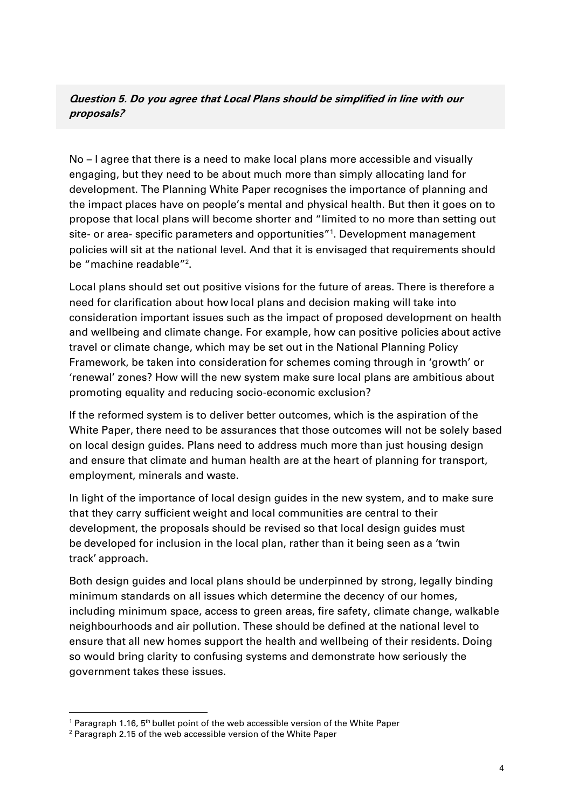#### **Question 5. Do you agree that Local Plans should be simplified in line with our proposals?**

No – I agree that there is a need to make local plans more accessible and visually engaging, but they need to be about much more than simply allocating land for development. The Planning White Paper recognises the importance of planning and the impact places have on people's mental and physical health. But then it goes on to propose that local plans will become shorter and "limited to no more than setting out site- or area- specific parameters and opportunities"<sup>1</sup>. Development management policies will sit at the national level. And that it is envisaged that requirements should be "machine readable"<sup>2</sup>.

Local plans should set out positive visions for the future of areas. There is therefore a need for clarification about how local plans and decision making will take into consideration important issues such as the impact of proposed development on health and wellbeing and climate change. For example, how can positive policies about active travel or climate change, which may be set out in the National Planning Policy Framework, be taken into consideration for schemes coming through in 'growth' or 'renewal' zones? How will the new system make sure local plans are ambitious about promoting equality and reducing socio-economic exclusion?

If the reformed system is to deliver better outcomes, which is the aspiration of the White Paper, there need to be assurances that those outcomes will not be solely based on local design guides. Plans need to address much more than just housing design and ensure that climate and human health are at the heart of planning for transport, employment, minerals and waste.

In light of the importance of local design guides in the new system, and to make sure that they carry sufficient weight and local communities are central to their development, the proposals should be revised so that local design guides must be developed for inclusion in the local plan, rather than it being seen as a 'twin track' approach.

Both design guides and local plans should be underpinned by strong, legally binding minimum standards on all issues which determine the decency of our homes, including minimum space, access to green areas, fire safety, climate change, walkable neighbourhoods and air pollution. These should be defined at the national level to ensure that all new homes support the health and wellbeing of their residents. Doing so would bring clarity to confusing systems and demonstrate how seriously the government takes these issues.

<sup>&</sup>lt;sup>1</sup> Paragraph 1.16, 5<sup>th</sup> bullet point of the web accessible version of the White Paper

<sup>2</sup> Paragraph 2.15 of the web accessible version of the White Paper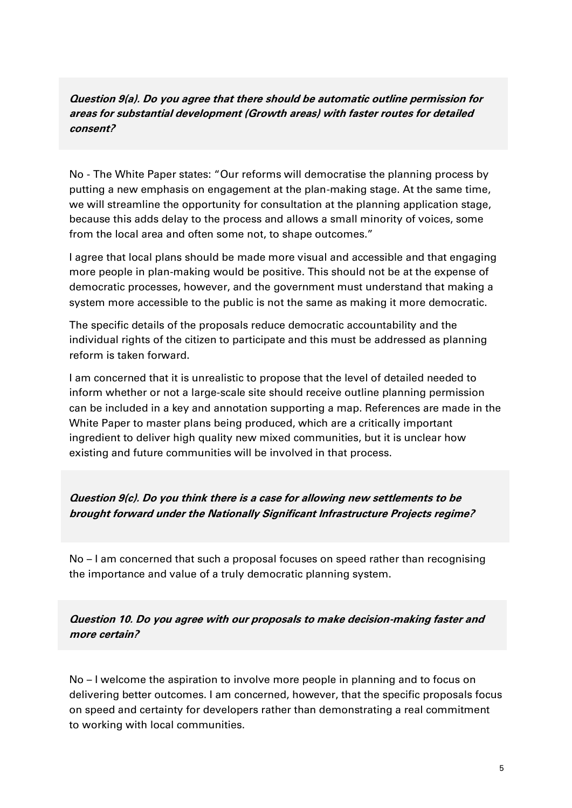#### **Question 9(a). Do you agree that there should be automatic outline permission for areas for substantial development (Growth areas) with faster routes for detailed consent?**

No - The White Paper states: "Our reforms will democratise the planning process by putting a new emphasis on engagement at the plan-making stage. At the same time, we will streamline the opportunity for consultation at the planning application stage, because this adds delay to the process and allows a small minority of voices, some from the local area and often some not, to shape outcomes."

I agree that local plans should be made more visual and accessible and that engaging more people in plan-making would be positive. This should not be at the expense of democratic processes, however, and the government must understand that making a system more accessible to the public is not the same as making it more democratic.

The specific details of the proposals reduce democratic accountability and the individual rights of the citizen to participate and this must be addressed as planning reform is taken forward.

I am concerned that it is unrealistic to propose that the level of detailed needed to inform whether or not a large-scale site should receive outline planning permission can be included in a key and annotation supporting a map. References are made in the White Paper to master plans being produced, which are a critically important ingredient to deliver high quality new mixed communities, but it is unclear how existing and future communities will be involved in that process.

**Question 9(c). Do you think there is a case for allowing new settlements to be brought forward under the Nationally Significant Infrastructure Projects regime?**

No – I am concerned that such a proposal focuses on speed rather than recognising the importance and value of a truly democratic planning system.

**Question 10. Do you agree with our proposals to make decision-making faster and more certain?**

No – I welcome the aspiration to involve more people in planning and to focus on delivering better outcomes. I am concerned, however, that the specific proposals focus on speed and certainty for developers rather than demonstrating a real commitment to working with local communities.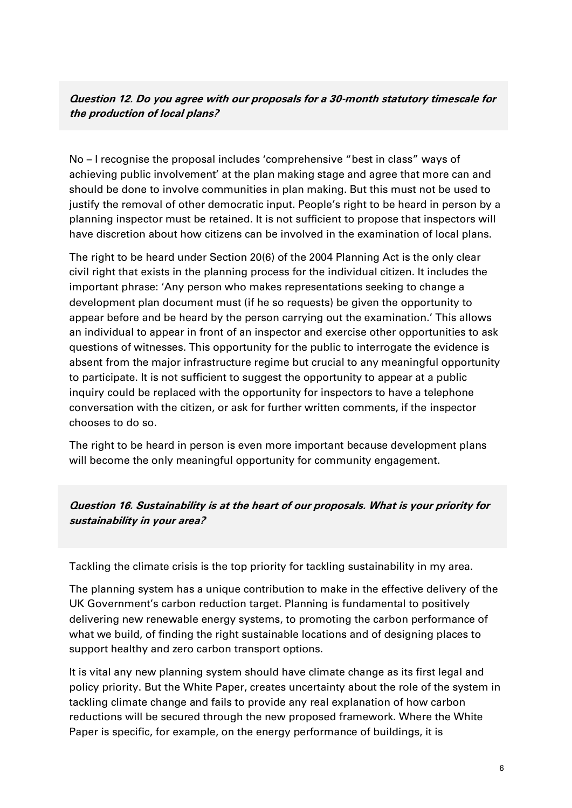#### **Question 12. Do you agree with our proposals for a 30-month statutory timescale for the production of local plans?**

No – I recognise the proposal includes 'comprehensive "best in class" ways of achieving public involvement' at the plan making stage and agree that more can and should be done to involve communities in plan making. But this must not be used to justify the removal of other democratic input. People's right to be heard in person by a planning inspector must be retained. It is not sufficient to propose that inspectors will have discretion about how citizens can be involved in the examination of local plans.

The right to be heard under Section 20(6) of the 2004 Planning Act is the only clear civil right that exists in the planning process for the individual citizen. It includes the important phrase: 'Any person who makes representations seeking to change a development plan document must (if he so requests) be given the opportunity to appear before and be heard by the person carrying out the examination.' This allows an individual to appear in front of an inspector and exercise other opportunities to ask questions of witnesses. This opportunity for the public to interrogate the evidence is absent from the major infrastructure regime but crucial to any meaningful opportunity to participate. It is not sufficient to suggest the opportunity to appear at a public inquiry could be replaced with the opportunity for inspectors to have a telephone conversation with the citizen, or ask for further written comments, if the inspector chooses to do so.

The right to be heard in person is even more important because development plans will become the only meaningful opportunity for community engagement.

#### **Question 16. Sustainability is at the heart of our proposals. What is your priority for sustainability in your area?**

Tackling the climate crisis is the top priority for tackling sustainability in my area.

The planning system has a unique contribution to make in the effective delivery of the UK Government's carbon reduction target. Planning is fundamental to positively delivering new renewable energy systems, to promoting the carbon performance of what we build, of finding the right sustainable locations and of designing places to support healthy and zero carbon transport options.

It is vital any new planning system should have climate change as its first legal and policy priority. But the White Paper, creates uncertainty about the role of the system in tackling climate change and fails to provide any real explanation of how carbon reductions will be secured through the new proposed framework. Where the White Paper is specific, for example, on the energy performance of buildings, it is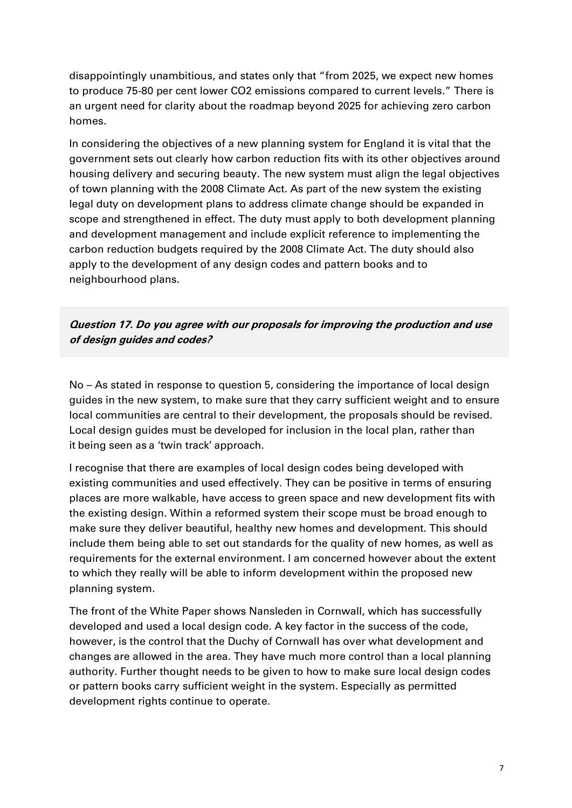disappointingly unambitious, and states only that "from 2025, we expect new homes to produce 75-80 per cent lower CO2 emissions compared to current levels." There is an urgent need for clarity about the roadmap beyond 2025 for achieving zero carbon homes.

In considering the objectives of a new planning system for England it is vital that the government sets out clearly how carbon reduction fits with its other objectives around housing delivery and securing beauty. The new system must align the legal objectives of town planning with the 2008 Climate Act. As part of the new system the existing legal duty on development plans to address climate change should be expanded in scope and strengthened in effect. The duty must apply to both development planning and development management and include explicit reference to implementing the carbon reduction budgets required by the 2008 Climate Act. The duty should also apply to the development of any design codes and pattern books and to neighbourhood plans.

#### **Question 17. Do you agree with our proposals for improving the production and use of design guides and codes?**

No – As stated in response to question 5, considering the importance of local design guides in the new system, to make sure that they carry sufficient weight and to ensure local communities are central to their development, the proposals should be revised. Local design guides must be developed for inclusion in the local plan, rather than it being seen as a 'twin track' approach.

I recognise that there are examples of local design codes being developed with existing communities and used effectively. They can be positive in terms of ensuring places are more walkable, have access to green space and new development fits with the existing design. Within a reformed system their scope must be broad enough to make sure they deliver beautiful, healthy new homes and development. This should include them being able to set out standards for the quality of new homes, as well as requirements for the external environment. I am concerned however about the extent to which they really will be able to inform development within the proposed new planning system.

The front of the White Paper shows Nansleden in Cornwall, which has successfully developed and used a local design code. A key factor in the success of the code, however, is the control that the Duchy of Cornwall has over what development and changes are allowed in the area. They have much more control than a local planning authority. Further thought needs to be given to how to make sure local design codes or pattern books carry sufficient weight in the system. Especially as permitted development rights continue to operate.